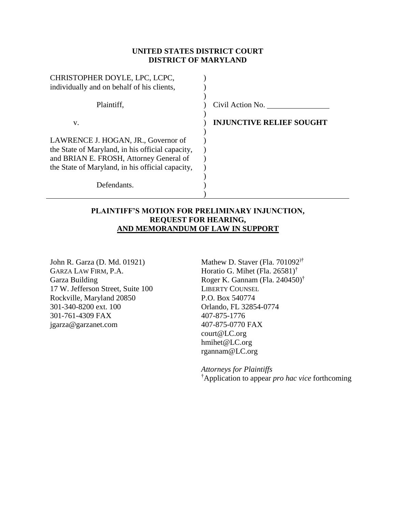### **UNITED STATES DISTRICT COURT DISTRICT OF MARYLAND**

| CHRISTOPHER DOYLE, LPC, LCPC,                    |                                 |
|--------------------------------------------------|---------------------------------|
| individually and on behalf of his clients,       |                                 |
| Plaintiff.                                       | Civil Action No.                |
| V.                                               | <b>INJUNCTIVE RELIEF SOUGHT</b> |
|                                                  |                                 |
| LAWRENCE J. HOGAN, JR., Governor of              |                                 |
| the State of Maryland, in his official capacity, |                                 |
| and BRIAN E. FROSH, Attorney General of          |                                 |
| the State of Maryland, in his official capacity, |                                 |
|                                                  |                                 |
| Defendants.                                      |                                 |
|                                                  |                                 |

### **PLAINTIFF'S MOTION FOR PRELIMINARY INJUNCTION, REQUEST FOR HEARING, AND MEMORANDUM OF LAW IN SUPPORT**

John R. Garza (D. Md. 01921) GARZA LAW FIRM, P.A. Garza Building 17 W. Jefferson Street, Suite 100 Rockville, Maryland 20850 301-340-8200 ext. 100 301-761-4309 FAX jgarza@garzanet.com

Mathew D. Staver (Fla. 701092)† Horatio G. Mihet (Fla. 26581)† Roger K. Gannam (Fla. 240450)† LIBERTY COUNSEL P.O. Box 540774 Orlando, FL 32854-0774 407-875-1776 407-875-0770 FAX court@LC.org hmihet@LC.org rgannam@LC.org

*Attorneys for Plaintiffs* †Application to appear *pro hac vice* forthcoming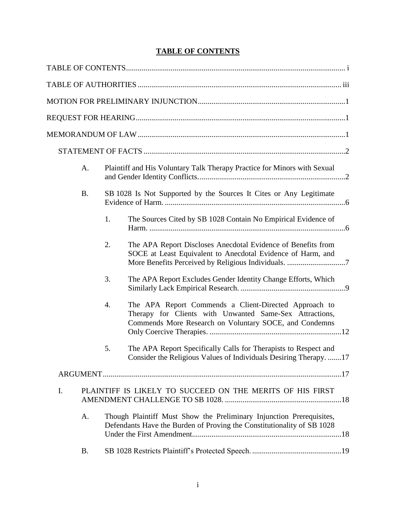## **TABLE OF CONTENTS**

|    | A.        |                                                                                                                                                | Plaintiff and His Voluntary Talk Therapy Practice for Minors with Sexual                                                                                                   |  |  |
|----|-----------|------------------------------------------------------------------------------------------------------------------------------------------------|----------------------------------------------------------------------------------------------------------------------------------------------------------------------------|--|--|
|    | <b>B.</b> |                                                                                                                                                | SB 1028 Is Not Supported by the Sources It Cites or Any Legitimate                                                                                                         |  |  |
|    |           | 1.                                                                                                                                             | The Sources Cited by SB 1028 Contain No Empirical Evidence of                                                                                                              |  |  |
|    |           | 2.                                                                                                                                             | The APA Report Discloses Anecdotal Evidence of Benefits from<br>SOCE at Least Equivalent to Anecdotal Evidence of Harm, and                                                |  |  |
|    |           | 3.                                                                                                                                             | The APA Report Excludes Gender Identity Change Efforts, Which                                                                                                              |  |  |
|    |           | 4.                                                                                                                                             | The APA Report Commends a Client-Directed Approach to<br>Therapy for Clients with Unwanted Same-Sex Attractions,<br>Commends More Research on Voluntary SOCE, and Condemns |  |  |
|    |           | 5.                                                                                                                                             | The APA Report Specifically Calls for Therapists to Respect and<br>Consider the Religious Values of Individuals Desiring Therapy. 17                                       |  |  |
|    |           |                                                                                                                                                |                                                                                                                                                                            |  |  |
| I. |           |                                                                                                                                                | PLAINTIFF IS LIKELY TO SUCCEED ON THE MERITS OF HIS FIRST                                                                                                                  |  |  |
|    | A.        | Though Plaintiff Must Show the Preliminary Injunction Prerequisites,<br>Defendants Have the Burden of Proving the Constitutionality of SB 1028 |                                                                                                                                                                            |  |  |
|    | <b>B.</b> |                                                                                                                                                |                                                                                                                                                                            |  |  |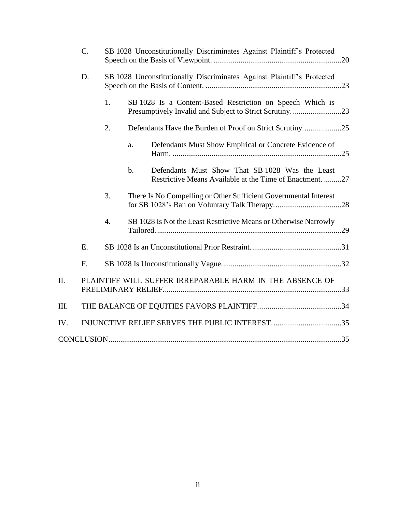|      | $\mathcal{C}$ . | SB 1028 Unconstitutionally Discriminates Against Plaintiff's Protected |               |                                                                                                             |  |
|------|-----------------|------------------------------------------------------------------------|---------------|-------------------------------------------------------------------------------------------------------------|--|
|      | D.              | SB 1028 Unconstitutionally Discriminates Against Plaintiff's Protected |               |                                                                                                             |  |
|      |                 | 1.                                                                     |               | SB 1028 Is a Content-Based Restriction on Speech Which is                                                   |  |
|      |                 | 2.                                                                     |               | Defendants Have the Burden of Proof on Strict Scrutiny25                                                    |  |
|      |                 |                                                                        | a.            | Defendants Must Show Empirical or Concrete Evidence of                                                      |  |
|      |                 |                                                                        | $\mathbf b$ . | Defendants Must Show That SB 1028 Was the Least<br>Restrictive Means Available at the Time of Enactment. 27 |  |
|      |                 | 3.                                                                     |               | There Is No Compelling or Other Sufficient Governmental Interest                                            |  |
|      |                 | $\overline{4}$ .                                                       |               | SB 1028 Is Not the Least Restrictive Means or Otherwise Narrowly                                            |  |
|      | E.              |                                                                        |               |                                                                                                             |  |
|      | F.              |                                                                        |               |                                                                                                             |  |
| II.  |                 |                                                                        |               | PLAINTIFF WILL SUFFER IRREPARABLE HARM IN THE ABSENCE OF                                                    |  |
| III. |                 |                                                                        |               |                                                                                                             |  |
| IV.  |                 |                                                                        |               |                                                                                                             |  |
|      |                 |                                                                        |               |                                                                                                             |  |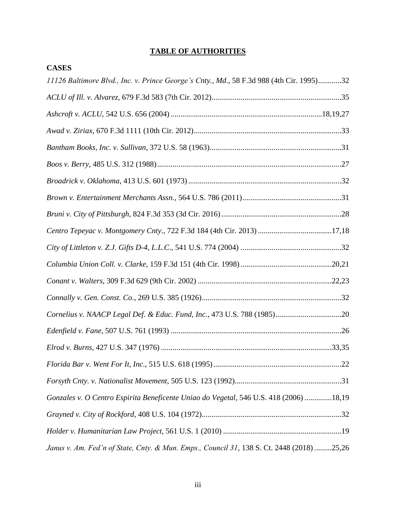## **TABLE OF AUTHORITIES**

**CASES**

| 11126 Baltimore Blvd., Inc. v. Prince George's Cnty., Md., 58 F.3d 988 (4th Cir. 1995)32  |
|-------------------------------------------------------------------------------------------|
|                                                                                           |
|                                                                                           |
|                                                                                           |
|                                                                                           |
|                                                                                           |
|                                                                                           |
|                                                                                           |
|                                                                                           |
| Centro Tepeyac v. Montgomery Cnty., 722 F.3d 184 (4th Cir. 2013) 17,18                    |
|                                                                                           |
|                                                                                           |
|                                                                                           |
|                                                                                           |
| Cornelius v. NAACP Legal Def. & Educ. Fund, Inc., 473 U.S. 788 (1985)20                   |
|                                                                                           |
|                                                                                           |
|                                                                                           |
|                                                                                           |
| Gonzales v. O Centro Espirita Beneficente Uniao do Vegetal, 546 U.S. 418 (2006) 18,19     |
|                                                                                           |
|                                                                                           |
| Janus v. Am. Fed'n of State, Cnty. & Mun. Emps., Council 31, 138 S. Ct. 2448 (2018) 25,26 |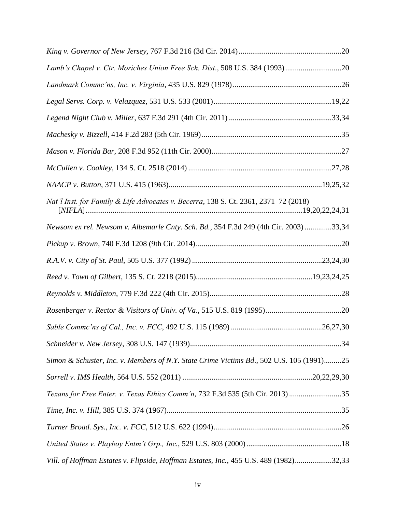| Lamb's Chapel v. Ctr. Moriches Union Free Sch. Dist., 508 U.S. 384 (1993)20              |  |
|------------------------------------------------------------------------------------------|--|
|                                                                                          |  |
|                                                                                          |  |
|                                                                                          |  |
|                                                                                          |  |
|                                                                                          |  |
|                                                                                          |  |
|                                                                                          |  |
| Nat'l Inst. for Family & Life Advocates v. Becerra, 138 S. Ct. 2361, 2371-72 (2018)      |  |
| Newsom ex rel. Newsom v. Albemarle Cnty. Sch. Bd., 354 F.3d 249 (4th Cir. 2003) 33,34    |  |
|                                                                                          |  |
|                                                                                          |  |
|                                                                                          |  |
|                                                                                          |  |
|                                                                                          |  |
|                                                                                          |  |
|                                                                                          |  |
| Simon & Schuster, Inc. v. Members of N.Y. State Crime Victims Bd., 502 U.S. 105 (1991)25 |  |
|                                                                                          |  |
| Texans for Free Enter. v. Texas Ethics Comm'n, 732 F.3d 535 (5th Cir. 2013)35            |  |
|                                                                                          |  |
|                                                                                          |  |
|                                                                                          |  |
| Vill. of Hoffman Estates v. Flipside, Hoffman Estates, Inc., 455 U.S. 489 (1982)32,33    |  |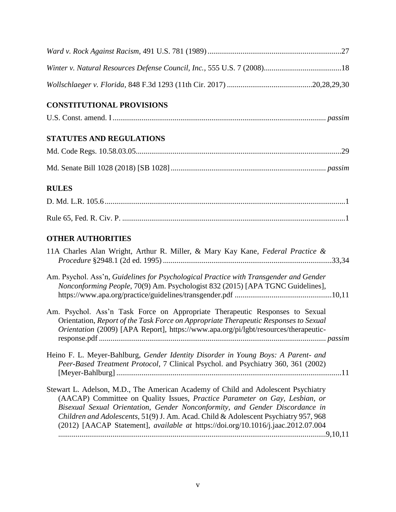| <b>CONSTITUTIONAL PROVISIONS</b>                                                                                                                                                                                                                                                                                                                                                                                             |
|------------------------------------------------------------------------------------------------------------------------------------------------------------------------------------------------------------------------------------------------------------------------------------------------------------------------------------------------------------------------------------------------------------------------------|
|                                                                                                                                                                                                                                                                                                                                                                                                                              |
| <b>STATUTES AND REGULATIONS</b>                                                                                                                                                                                                                                                                                                                                                                                              |
|                                                                                                                                                                                                                                                                                                                                                                                                                              |
|                                                                                                                                                                                                                                                                                                                                                                                                                              |
| <b>RULES</b>                                                                                                                                                                                                                                                                                                                                                                                                                 |
|                                                                                                                                                                                                                                                                                                                                                                                                                              |
|                                                                                                                                                                                                                                                                                                                                                                                                                              |
| <b>OTHER AUTHORITIES</b>                                                                                                                                                                                                                                                                                                                                                                                                     |
| 11A Charles Alan Wright, Arthur R. Miller, & Mary Kay Kane, Federal Practice &                                                                                                                                                                                                                                                                                                                                               |
| Am. Psychol. Ass'n, Guidelines for Psychological Practice with Transgender and Gender<br>Nonconforming People, 70(9) Am. Psychologist 832 (2015) [APA TGNC Guidelines],                                                                                                                                                                                                                                                      |
| Am. Psychol. Ass'n Task Force on Appropriate Therapeutic Responses to Sexual<br>Orientation, Report of the Task Force on Appropriate Therapeutic Responses to Sexual<br>Orientation (2009) [APA Report], https://www.apa.org/pi/lgbt/resources/therapeutic-                                                                                                                                                                  |
| Heino F. L. Meyer-Bahlburg, Gender Identity Disorder in Young Boys: A Parent- and<br>Peer-Based Treatment Protocol, 7 Clinical Psychol. and Psychiatry 360, 361 (2002)                                                                                                                                                                                                                                                       |
| Stewart L. Adelson, M.D., The American Academy of Child and Adolescent Psychiatry<br>(AACAP) Committee on Quality Issues, Practice Parameter on Gay, Lesbian, or<br>Bisexual Sexual Orientation, Gender Nonconformity, and Gender Discordance in<br>Children and Adolescents, 51(9) J. Am. Acad. Child & Adolescent Psychiatry 957, 968<br>(2012) [AACAP Statement], available at https://doi.org/10.1016/j.jaac.2012.07.004 |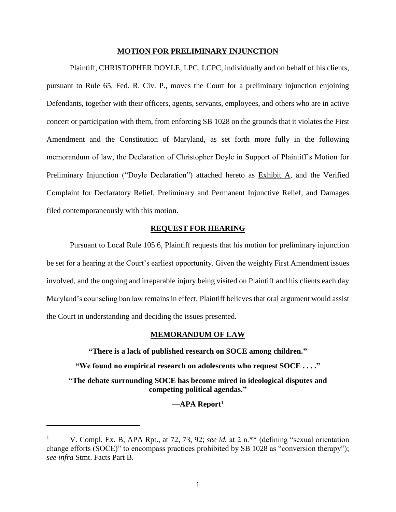### **MOTION FOR PRELIMINARY INJUNCTION**

Plaintiff, CHRISTOPHER DOYLE, LPC, LCPC, individually and on behalf of his clients, pursuant to Rule 65, Fed. R. Civ. P., moves the Court for a preliminary injunction enjoining Defendants, together with their officers, agents, servants, employees, and others who are in active concert or participation with them, from enforcing SB 1028 on the grounds that it violates the First Amendment and the Constitution of Maryland, as set forth more fully in the following memorandum of law, the Declaration of Christopher Doyle in Support of Plaintiff's Motion for Preliminary Injunction ("Doyle Declaration") attached hereto as Exhibit A, and the Verified Complaint for Declaratory Relief, Preliminary and Permanent Injunctive Relief, and Damages filed contemporaneously with this motion.

### **REQUEST FOR HEARING**

Pursuant to Local Rule 105.6, Plaintiff requests that his motion for preliminary injunction be set for a hearing at the Court's earliest opportunity. Given the weighty First Amendment issues involved, and the ongoing and irreparable injury being visited on Plaintiff and his clients each day Maryland's counseling ban law remains in effect, Plaintiff believes that oral argument would assist the Court in understanding and deciding the issues presented.

### **MEMORANDUM OF LAW**

**"There is a lack of published research on SOCE among children."**

**"We found no empirical research on adolescents who request SOCE . . . ."**

**"The debate surrounding SOCE has become mired in ideological disputes and competing political agendas."**

**—APA Report<sup>1</sup>**

 $\overline{a}$ 

<sup>&</sup>lt;sup>1</sup> V. Compl. Ex. B, APA Rpt., at 72, 73, 92; *see id.* at 2 n.<sup>\*\*</sup> (defining "sexual orientation change efforts (SOCE)" to encompass practices prohibited by SB 1028 as "conversion therapy"); *see infra* Stmt. Facts Part B.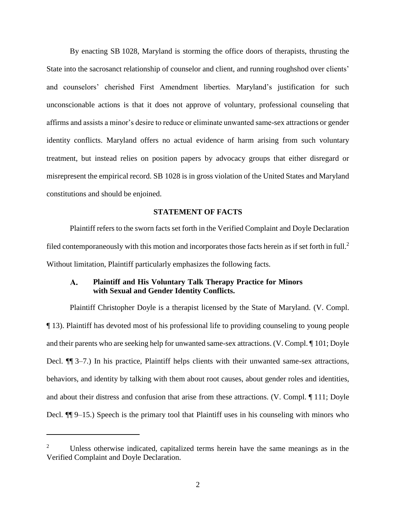By enacting SB 1028, Maryland is storming the office doors of therapists, thrusting the State into the sacrosanct relationship of counselor and client, and running roughshod over clients' and counselors' cherished First Amendment liberties. Maryland's justification for such unconscionable actions is that it does not approve of voluntary, professional counseling that affirms and assists a minor's desire to reduce or eliminate unwanted same-sex attractions or gender identity conflicts. Maryland offers no actual evidence of harm arising from such voluntary treatment, but instead relies on position papers by advocacy groups that either disregard or misrepresent the empirical record. SB 1028 is in gross violation of the United States and Maryland constitutions and should be enjoined.

### **STATEMENT OF FACTS**

Plaintiff refers to the sworn facts set forth in the Verified Complaint and Doyle Declaration filed contemporaneously with this motion and incorporates those facts herein as if set forth in full.<sup>2</sup> Without limitation, Plaintiff particularly emphasizes the following facts.

### $\mathbf{A}$ . **Plaintiff and His Voluntary Talk Therapy Practice for Minors with Sexual and Gender Identity Conflicts.**

Plaintiff Christopher Doyle is a therapist licensed by the State of Maryland. (V. Compl. ¶ 13). Plaintiff has devoted most of his professional life to providing counseling to young people and their parents who are seeking help for unwanted same-sex attractions. (V. Compl. ¶ 101; Doyle Decl. ¶¶ 3–7.) In his practice, Plaintiff helps clients with their unwanted same-sex attractions, behaviors, and identity by talking with them about root causes, about gender roles and identities, and about their distress and confusion that arise from these attractions. (V. Compl. ¶ 111; Doyle Decl. ¶¶ 9–15.) Speech is the primary tool that Plaintiff uses in his counseling with minors who

 $\overline{a}$ 

<sup>2</sup> Unless otherwise indicated, capitalized terms herein have the same meanings as in the Verified Complaint and Doyle Declaration.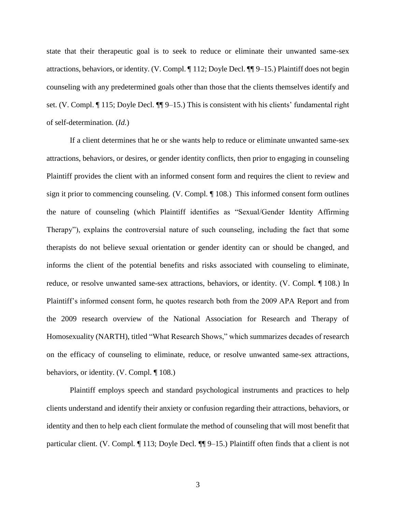state that their therapeutic goal is to seek to reduce or eliminate their unwanted same-sex attractions, behaviors, or identity. (V. Compl. ¶ 112; Doyle Decl. ¶¶ 9–15.) Plaintiff does not begin counseling with any predetermined goals other than those that the clients themselves identify and set. (V. Compl. ¶ 115; Doyle Decl. ¶¶ 9–15.) This is consistent with his clients' fundamental right of self-determination. (*Id.*)

If a client determines that he or she wants help to reduce or eliminate unwanted same-sex attractions, behaviors, or desires, or gender identity conflicts, then prior to engaging in counseling Plaintiff provides the client with an informed consent form and requires the client to review and sign it prior to commencing counseling. (V. Compl. ¶ 108.) This informed consent form outlines the nature of counseling (which Plaintiff identifies as "Sexual/Gender Identity Affirming Therapy"), explains the controversial nature of such counseling, including the fact that some therapists do not believe sexual orientation or gender identity can or should be changed, and informs the client of the potential benefits and risks associated with counseling to eliminate, reduce, or resolve unwanted same-sex attractions, behaviors, or identity. (V. Compl. ¶ 108.) In Plaintiff's informed consent form, he quotes research both from the 2009 APA Report and from the 2009 research overview of the National Association for Research and Therapy of Homosexuality (NARTH), titled "What Research Shows," which summarizes decades of research on the efficacy of counseling to eliminate, reduce, or resolve unwanted same-sex attractions, behaviors, or identity. (V. Compl. ¶ 108.)

Plaintiff employs speech and standard psychological instruments and practices to help clients understand and identify their anxiety or confusion regarding their attractions, behaviors, or identity and then to help each client formulate the method of counseling that will most benefit that particular client. (V. Compl. ¶ 113; Doyle Decl. ¶¶ 9–15.) Plaintiff often finds that a client is not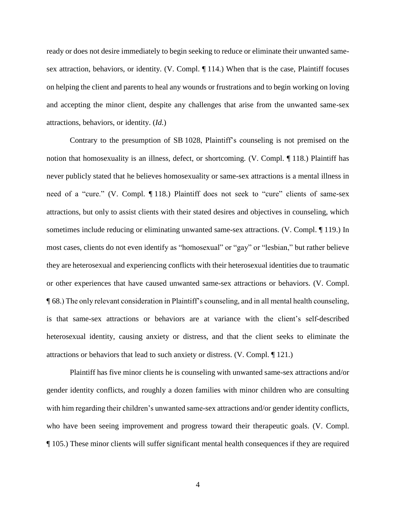ready or does not desire immediately to begin seeking to reduce or eliminate their unwanted samesex attraction, behaviors, or identity. (V. Compl. ¶ 114.) When that is the case, Plaintiff focuses on helping the client and parents to heal any wounds or frustrations and to begin working on loving and accepting the minor client, despite any challenges that arise from the unwanted same-sex attractions, behaviors, or identity. (*Id.*)

Contrary to the presumption of SB 1028, Plaintiff's counseling is not premised on the notion that homosexuality is an illness, defect, or shortcoming. (V. Compl. ¶ 118.) Plaintiff has never publicly stated that he believes homosexuality or same-sex attractions is a mental illness in need of a "cure." (V. Compl. ¶ 118.) Plaintiff does not seek to "cure" clients of same-sex attractions, but only to assist clients with their stated desires and objectives in counseling, which sometimes include reducing or eliminating unwanted same-sex attractions. (V. Compl. ¶ 119.) In most cases, clients do not even identify as "homosexual" or "gay" or "lesbian," but rather believe they are heterosexual and experiencing conflicts with their heterosexual identities due to traumatic or other experiences that have caused unwanted same-sex attractions or behaviors. (V. Compl. ¶ 68.) The only relevant consideration in Plaintiff's counseling, and in all mental health counseling, is that same-sex attractions or behaviors are at variance with the client's self-described heterosexual identity, causing anxiety or distress, and that the client seeks to eliminate the attractions or behaviors that lead to such anxiety or distress. (V. Compl. ¶ 121.)

Plaintiff has five minor clients he is counseling with unwanted same-sex attractions and/or gender identity conflicts, and roughly a dozen families with minor children who are consulting with him regarding their children's unwanted same-sex attractions and/or gender identity conflicts, who have been seeing improvement and progress toward their therapeutic goals. (V. Compl. ¶ 105.) These minor clients will suffer significant mental health consequences if they are required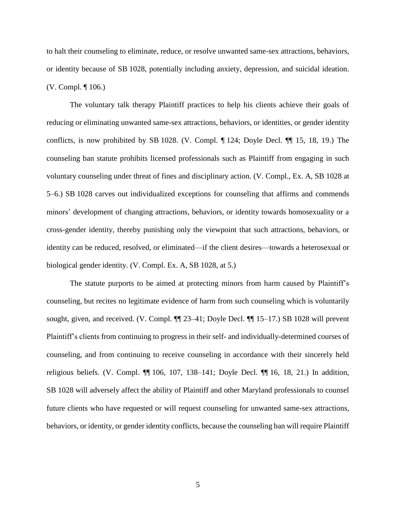to halt their counseling to eliminate, reduce, or resolve unwanted same-sex attractions, behaviors, or identity because of SB 1028, potentially including anxiety, depression, and suicidal ideation. (V. Compl. ¶ 106.)

The voluntary talk therapy Plaintiff practices to help his clients achieve their goals of reducing or eliminating unwanted same-sex attractions, behaviors, or identities, or gender identity conflicts, is now prohibited by SB 1028. (V. Compl. ¶ 124; Doyle Decl. ¶¶ 15, 18, 19.) The counseling ban statute prohibits licensed professionals such as Plaintiff from engaging in such voluntary counseling under threat of fines and disciplinary action. (V. Compl., Ex. A, SB 1028 at 5–6.) SB 1028 carves out individualized exceptions for counseling that affirms and commends minors' development of changing attractions, behaviors, or identity towards homosexuality or a cross-gender identity, thereby punishing only the viewpoint that such attractions, behaviors, or identity can be reduced, resolved, or eliminated—if the client desires—towards a heterosexual or biological gender identity. (V. Compl. Ex. A, SB 1028, at 5.)

The statute purports to be aimed at protecting minors from harm caused by Plaintiff's counseling, but recites no legitimate evidence of harm from such counseling which is voluntarily sought, given, and received. (V. Compl. ¶¶ 23–41; Doyle Decl. ¶¶ 15–17.) SB 1028 will prevent Plaintiff's clients from continuing to progress in their self- and individually-determined courses of counseling, and from continuing to receive counseling in accordance with their sincerely held religious beliefs. (V. Compl. ¶¶ 106, 107, 138–141; Doyle Decl. ¶¶ 16, 18, 21.) In addition, SB 1028 will adversely affect the ability of Plaintiff and other Maryland professionals to counsel future clients who have requested or will request counseling for unwanted same-sex attractions, behaviors, or identity, or gender identity conflicts, because the counseling ban will require Plaintiff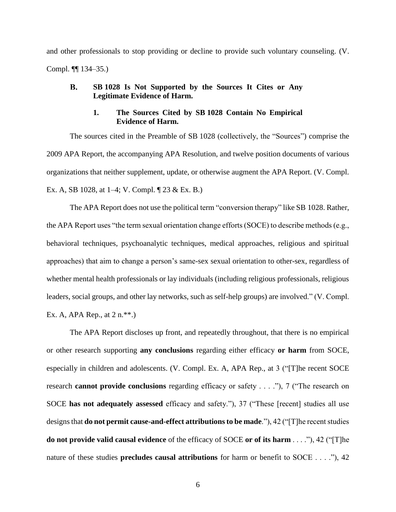and other professionals to stop providing or decline to provide such voluntary counseling. (V. Compl. ¶¶ 134–35.)

### $\mathbf{B}$ . **SB 1028 Is Not Supported by the Sources It Cites or Any Legitimate Evidence of Harm.**

### **1. The Sources Cited by SB 1028 Contain No Empirical Evidence of Harm.**

The sources cited in the Preamble of SB 1028 (collectively, the "Sources") comprise the 2009 APA Report, the accompanying APA Resolution, and twelve position documents of various organizations that neither supplement, update, or otherwise augment the APA Report. (V. Compl. Ex. A, SB 1028, at 1–4; V. Compl. ¶ 23 & Ex. B.)

The APA Report does not use the political term "conversion therapy" like SB 1028. Rather, the APA Report uses "the term sexual orientation change efforts (SOCE) to describe methods (e.g., behavioral techniques, psychoanalytic techniques, medical approaches, religious and spiritual approaches) that aim to change a person's same-sex sexual orientation to other-sex, regardless of whether mental health professionals or lay individuals (including religious professionals, religious leaders, social groups, and other lay networks, such as self-help groups) are involved." (V. Compl. Ex. A, APA Rep., at  $2 \text{ n.**}$ .

The APA Report discloses up front, and repeatedly throughout, that there is no empirical or other research supporting **any conclusions** regarding either efficacy **or harm** from SOCE, especially in children and adolescents. (V. Compl. Ex. A, APA Rep., at 3 ("[T]he recent SOCE research **cannot provide conclusions** regarding efficacy or safety . . . ."), 7 ("The research on SOCE **has not adequately assessed** efficacy and safety."), 37 ("These [recent] studies all use designs that **do not permit cause-and-effect attributions to be made**."), 42 ("[T]he recent studies **do not provide valid causal evidence** of the efficacy of SOCE **or of its harm** . . . ."), 42 ("[T]he nature of these studies **precludes causal attributions** for harm or benefit to SOCE . . . ."), 42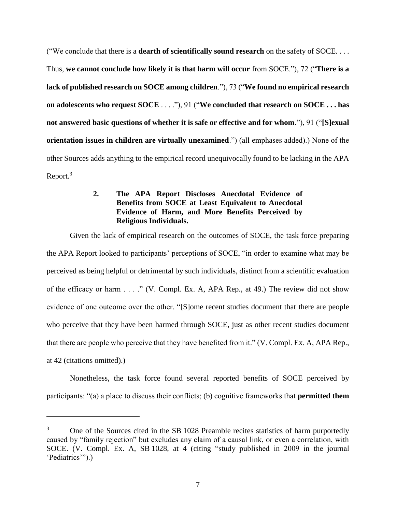("We conclude that there is a **dearth of scientifically sound research** on the safety of SOCE. . . . Thus, **we cannot conclude how likely it is that harm will occur** from SOCE."), 72 ("**There is a lack of published research on SOCE among children**."), 73 ("**We found no empirical research on adolescents who request SOCE** . . . ."), 91 ("**We concluded that research on SOCE . . . has not answered basic questions of whether it is safe or effective and for whom**."), 91 ("**[S]exual orientation issues in children are virtually unexamined**.") (all emphases added).) None of the other Sources adds anything to the empirical record unequivocally found to be lacking in the APA Report.<sup>3</sup>

## **2. The APA Report Discloses Anecdotal Evidence of Benefits from SOCE at Least Equivalent to Anecdotal Evidence of Harm, and More Benefits Perceived by Religious Individuals.**

Given the lack of empirical research on the outcomes of SOCE, the task force preparing the APA Report looked to participants' perceptions of SOCE, "in order to examine what may be perceived as being helpful or detrimental by such individuals, distinct from a scientific evaluation of the efficacy or harm . . . ." (V. Compl. Ex. A, APA Rep., at 49.) The review did not show evidence of one outcome over the other. "[S]ome recent studies document that there are people who perceive that they have been harmed through SOCE, just as other recent studies document that there are people who perceive that they have benefited from it." (V. Compl. Ex. A, APA Rep., at 42 (citations omitted).)

Nonetheless, the task force found several reported benefits of SOCE perceived by participants: "(a) a place to discuss their conflicts; (b) cognitive frameworks that **permitted them** 

 $\overline{a}$ 

<sup>&</sup>lt;sup>3</sup> One of the Sources cited in the SB 1028 Preamble recites statistics of harm purportedly caused by "family rejection" but excludes any claim of a causal link, or even a correlation, with SOCE. (V. Compl. Ex. A, SB 1028, at 4 (citing "study published in 2009 in the journal 'Pediatrics'").)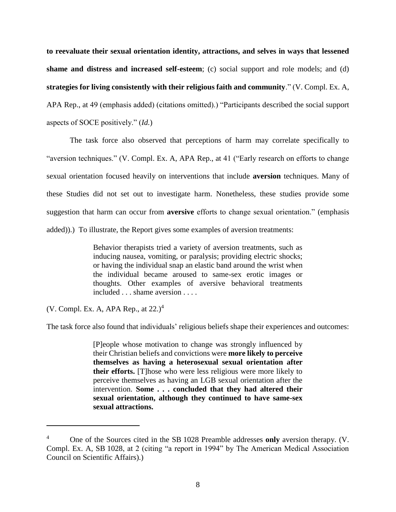**to reevaluate their sexual orientation identity, attractions, and selves in ways that lessened shame and distress and increased self-esteem**; (c) social support and role models; and (d) **strategies for living consistently with their religious faith and community**." (V. Compl. Ex. A, APA Rep., at 49 (emphasis added) (citations omitted).) "Participants described the social support aspects of SOCE positively." (*Id.*)

The task force also observed that perceptions of harm may correlate specifically to "aversion techniques." (V. Compl. Ex. A, APA Rep., at 41 ("Early research on efforts to change sexual orientation focused heavily on interventions that include **aversion** techniques. Many of these Studies did not set out to investigate harm. Nonetheless, these studies provide some suggestion that harm can occur from **aversive** efforts to change sexual orientation." (emphasis added)).) To illustrate, the Report gives some examples of aversion treatments:

> Behavior therapists tried a variety of aversion treatments, such as inducing nausea, vomiting, or paralysis; providing electric shocks; or having the individual snap an elastic band around the wrist when the individual became aroused to same-sex erotic images or thoughts. Other examples of aversive behavioral treatments included . . . shame aversion . . . .

(V. Compl. Ex. A, APA Rep., at  $22.$ )<sup>4</sup>

 $\overline{a}$ 

The task force also found that individuals' religious beliefs shape their experiences and outcomes:

[P]eople whose motivation to change was strongly influenced by their Christian beliefs and convictions were **more likely to perceive themselves as having a heterosexual sexual orientation after their efforts.** [T]hose who were less religious were more likely to perceive themselves as having an LGB sexual orientation after the intervention. **Some . . . concluded that they had altered their sexual orientation, although they continued to have same-sex sexual attractions.**

<sup>4</sup> One of the Sources cited in the SB 1028 Preamble addresses **only** aversion therapy. (V. Compl. Ex. A, SB 1028, at 2 (citing "a report in 1994" by The American Medical Association Council on Scientific Affairs).)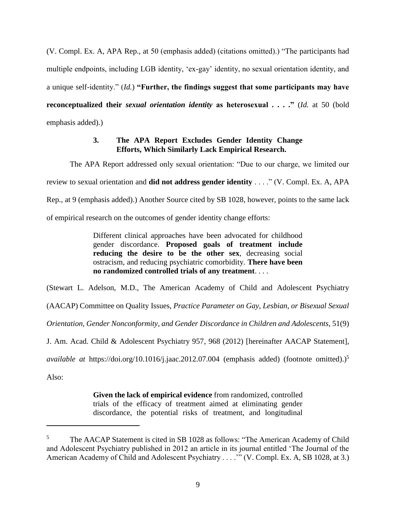(V. Compl. Ex. A, APA Rep., at 50 (emphasis added) (citations omitted).) "The participants had multiple endpoints, including LGB identity, 'ex-gay' identity, no sexual orientation identity, and a unique self-identity." (*Id.*) **"Further, the findings suggest that some participants may have reconceptualized their** *sexual orientation identity* **as heterosexual . . . ."** (*Id.* at 50 (bold emphasis added).)

## **3. The APA Report Excludes Gender Identity Change Efforts, Which Similarly Lack Empirical Research.**

The APA Report addressed only sexual orientation: "Due to our charge, we limited our review to sexual orientation and **did not address gender identity** . . . ." (V. Compl. Ex. A, APA Rep., at 9 (emphasis added).) Another Source cited by SB 1028, however, points to the same lack of empirical research on the outcomes of gender identity change efforts:

> Different clinical approaches have been advocated for childhood gender discordance. **Proposed goals of treatment include reducing the desire to be the other sex**, decreasing social ostracism, and reducing psychiatric comorbidity. **There have been no randomized controlled trials of any treatment**. . . .

(Stewart L. Adelson, M.D., The American Academy of Child and Adolescent Psychiatry

(AACAP) Committee on Quality Issues, *Practice Parameter on Gay, Lesbian, or Bisexual Sexual* 

*Orientation, Gender Nonconformity, and Gender Discordance in Children and Adolescents*, 51(9)

J. Am. Acad. Child & Adolescent Psychiatry 957, 968 (2012) [hereinafter AACAP Statement],

*available at https://doi.org/10.1016/j.jaac.2012.07.004* (emphasis added) (footnote omitted).)<sup>5</sup>

Also:

 $\overline{a}$ 

**Given the lack of empirical evidence** from randomized, controlled trials of the efficacy of treatment aimed at eliminating gender discordance, the potential risks of treatment, and longitudinal

<sup>&</sup>lt;sup>5</sup> The AACAP Statement is cited in SB 1028 as follows: "The American Academy of Child and Adolescent Psychiatry published in 2012 an article in its journal entitled 'The Journal of the American Academy of Child and Adolescent Psychiatry . . . ." (V. Compl. Ex. A, SB 1028, at 3.)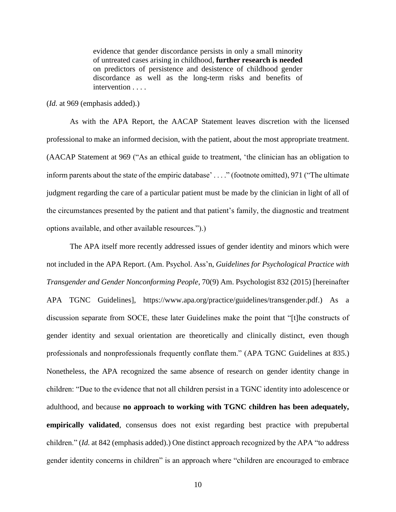evidence that gender discordance persists in only a small minority of untreated cases arising in childhood, **further research is needed** on predictors of persistence and desistence of childhood gender discordance as well as the long-term risks and benefits of intervention . . . .

(*Id.* at 969 (emphasis added).)

As with the APA Report, the AACAP Statement leaves discretion with the licensed professional to make an informed decision, with the patient, about the most appropriate treatment. (AACAP Statement at 969 ("As an ethical guide to treatment, 'the clinician has an obligation to inform parents about the state of the empiric database' . . . ." (footnote omitted), 971 ("The ultimate judgment regarding the care of a particular patient must be made by the clinician in light of all of the circumstances presented by the patient and that patient's family, the diagnostic and treatment options available, and other available resources.").)

The APA itself more recently addressed issues of gender identity and minors which were not included in the APA Report. (Am. Psychol. Ass'n, *Guidelines for Psychological Practice with Transgender and Gender Nonconforming People*, 70(9) Am. Psychologist 832 (2015) [hereinafter APA TGNC Guidelines], https://www.apa.org/practice/guidelines/transgender.pdf.) As a discussion separate from SOCE, these later Guidelines make the point that "[t]he constructs of gender identity and sexual orientation are theoretically and clinically distinct, even though professionals and nonprofessionals frequently conflate them." (APA TGNC Guidelines at 835.) Nonetheless, the APA recognized the same absence of research on gender identity change in children: "Due to the evidence that not all children persist in a TGNC identity into adolescence or adulthood, and because **no approach to working with TGNC children has been adequately, empirically validated**, consensus does not exist regarding best practice with prepubertal children." (*Id.* at 842 (emphasis added).) One distinct approach recognized by the APA "to address gender identity concerns in children" is an approach where "children are encouraged to embrace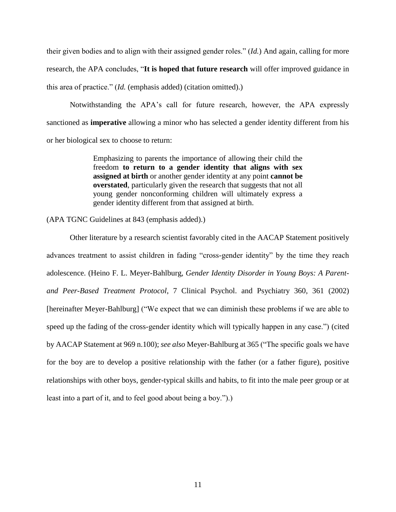their given bodies and to align with their assigned gender roles." (*Id.*) And again, calling for more research, the APA concludes, "**It is hoped that future research** will offer improved guidance in this area of practice." (*Id.* (emphasis added) (citation omitted).)

Notwithstanding the APA's call for future research, however, the APA expressly sanctioned as **imperative** allowing a minor who has selected a gender identity different from his or her biological sex to choose to return:

> Emphasizing to parents the importance of allowing their child the freedom **to return to a gender identity that aligns with sex assigned at birth** or another gender identity at any point **cannot be overstated**, particularly given the research that suggests that not all young gender nonconforming children will ultimately express a gender identity different from that assigned at birth.

(APA TGNC Guidelines at 843 (emphasis added).)

Other literature by a research scientist favorably cited in the AACAP Statement positively advances treatment to assist children in fading "cross-gender identity" by the time they reach adolescence. (Heino F. L. Meyer-Bahlburg, *Gender Identity Disorder in Young Boys: A Parentand Peer-Based Treatment Protocol*, 7 Clinical Psychol. and Psychiatry 360, 361 (2002) [hereinafter Meyer-Bahlburg] ("We expect that we can diminish these problems if we are able to speed up the fading of the cross-gender identity which will typically happen in any case.") (cited by AACAP Statement at 969 n.100); *see also* Meyer-Bahlburg at 365 ("The specific goals we have for the boy are to develop a positive relationship with the father (or a father figure), positive relationships with other boys, gender-typical skills and habits, to fit into the male peer group or at least into a part of it, and to feel good about being a boy.").)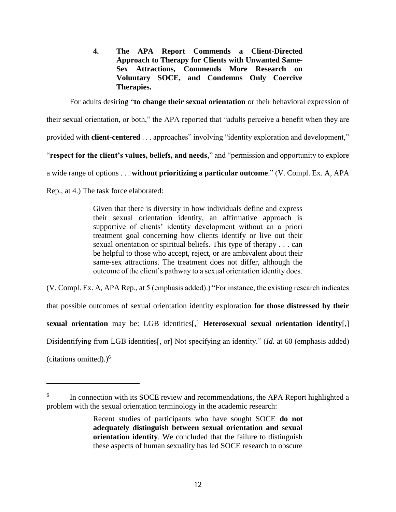**4. The APA Report Commends a Client-Directed Approach to Therapy for Clients with Unwanted Same-Sex Attractions, Commends More Research on Voluntary SOCE, and Condemns Only Coercive Therapies.**

For adults desiring "**to change their sexual orientation** or their behavioral expression of

their sexual orientation, or both," the APA reported that "adults perceive a benefit when they are

provided with **client-centered** . . . approaches" involving "identity exploration and development,"

"**respect for the client's values, beliefs, and needs**," and "permission and opportunity to explore

a wide range of options . . . **without prioritizing a particular outcome**." (V. Compl. Ex. A, APA

Rep., at 4.) The task force elaborated:

Given that there is diversity in how individuals define and express their sexual orientation identity, an affirmative approach is supportive of clients' identity development without an a priori treatment goal concerning how clients identify or live out their sexual orientation or spiritual beliefs. This type of therapy . . . can be helpful to those who accept, reject, or are ambivalent about their same-sex attractions. The treatment does not differ, although the outcome of the client's pathway to a sexual orientation identity does.

(V. Compl. Ex. A, APA Rep., at 5 (emphasis added).) "For instance, the existing research indicates

that possible outcomes of sexual orientation identity exploration **for those distressed by their** 

**sexual orientation** may be: LGB identities[,] **Heterosexual sexual orientation identity**[,]

Disidentifying from LGB identities<sup>[14]</sup>, or Not specifying an identity." (*Id.* at 60 (emphasis added)

(citations omitted).)<sup>6</sup>

 $\overline{a}$ 

<sup>6</sup> In connection with its SOCE review and recommendations, the APA Report highlighted a problem with the sexual orientation terminology in the academic research:

Recent studies of participants who have sought SOCE **do not adequately distinguish between sexual orientation and sexual orientation identity**. We concluded that the failure to distinguish these aspects of human sexuality has led SOCE research to obscure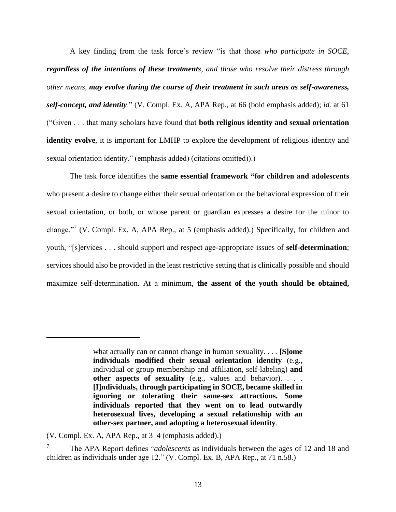A key finding from the task force's review "is that those *who participate in SOCE, regardless of the intentions of these treatments, and those who resolve their distress through other means, may evolve during the course of their treatment in such areas as self-awareness, self-concept, and identity*." (V. Compl. Ex. A, APA Rep., at 66 (bold emphasis added); *id.* at 61 ("Given . . . that many scholars have found that **both religious identity and sexual orientation identity evolve**, it is important for LMHP to explore the development of religious identity and sexual orientation identity." (emphasis added) (citations omitted)).)

The task force identifies the **same essential framework "for children and adolescents** who present a desire to change either their sexual orientation or the behavioral expression of their sexual orientation, or both, or whose parent or guardian expresses a desire for the minor to change."<sup>7</sup> (V. Compl. Ex. A, APA Rep., at 5 (emphasis added).) Specifically, for children and youth, "[s]ervices . . . should support and respect age-appropriate issues of **self-determination**; services should also be provided in the least restrictive setting that is clinically possible and should maximize self-determination. At a minimum, **the assent of the youth should be obtained,** 

 $\overline{a}$ 

what actually can or cannot change in human sexuality. . . . **[S]ome individuals modified their sexual orientation identity** (e.g., individual or group membership and affiliation, self-labeling) **and other aspects of sexuality** (e.g., values and behavior). . . . **[I]ndividuals, through participating in SOCE, became skilled in ignoring or tolerating their same-sex attractions. Some individuals reported that they went on to lead outwardly heterosexual lives, developing a sexual relationship with an other-sex partner, and adopting a heterosexual identity**.

<sup>(</sup>V. Compl. Ex. A, APA Rep., at 3–4 (emphasis added).)

<sup>7</sup> The APA Report defines "*adolescents* as individuals between the ages of 12 and 18 and children as individuals under age 12." (V. Compl. Ex. B, APA Rep., at 71 n.58.)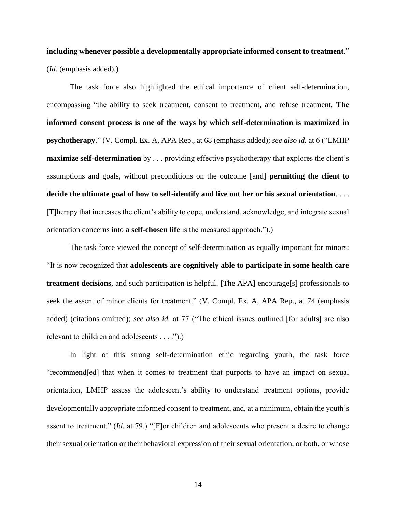# **including whenever possible a developmentally appropriate informed consent to treatment**." (*Id.* (emphasis added).)

The task force also highlighted the ethical importance of client self-determination, encompassing "the ability to seek treatment, consent to treatment, and refuse treatment. **The informed consent process is one of the ways by which self-determination is maximized in psychotherapy**." (V. Compl. Ex. A, APA Rep., at 68 (emphasis added); *see also id.* at 6 ("LMHP **maximize self-determination** by . . . providing effective psychotherapy that explores the client's assumptions and goals, without preconditions on the outcome [and] **permitting the client to decide the ultimate goal of how to self-identify and live out her or his sexual orientation**. . . . [T]herapy that increases the client's ability to cope, understand, acknowledge, and integrate sexual orientation concerns into **a self-chosen life** is the measured approach.").)

The task force viewed the concept of self-determination as equally important for minors: "It is now recognized that **adolescents are cognitively able to participate in some health care treatment decisions**, and such participation is helpful. [The APA] encourage[s] professionals to seek the assent of minor clients for treatment." (V. Compl. Ex. A, APA Rep., at 74 (emphasis added) (citations omitted); *see also id.* at 77 ("The ethical issues outlined [for adults] are also relevant to children and adolescents . . . .").)

In light of this strong self-determination ethic regarding youth, the task force "recommend[ed] that when it comes to treatment that purports to have an impact on sexual orientation, LMHP assess the adolescent's ability to understand treatment options, provide developmentally appropriate informed consent to treatment, and, at a minimum, obtain the youth's assent to treatment." (*Id.* at 79.) "[F]or children and adolescents who present a desire to change their sexual orientation or their behavioral expression of their sexual orientation, or both, or whose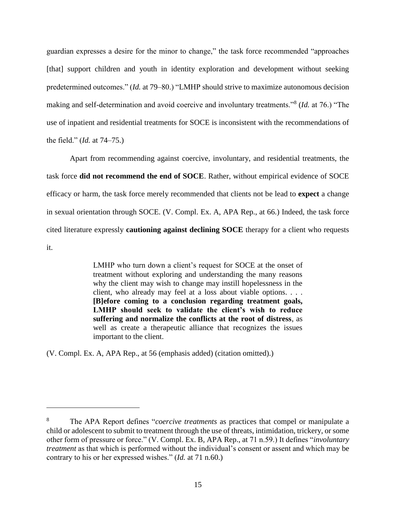guardian expresses a desire for the minor to change," the task force recommended "approaches [that] support children and youth in identity exploration and development without seeking predetermined outcomes." (*Id.* at 79–80.) "LMHP should strive to maximize autonomous decision making and self-determination and avoid coercive and involuntary treatments."<sup>8</sup> (*Id.* at 76.) "The use of inpatient and residential treatments for SOCE is inconsistent with the recommendations of the field." (*Id.* at 74–75.)

Apart from recommending against coercive, involuntary, and residential treatments, the task force **did not recommend the end of SOCE**. Rather, without empirical evidence of SOCE efficacy or harm, the task force merely recommended that clients not be lead to **expect** a change in sexual orientation through SOCE. (V. Compl. Ex. A, APA Rep., at 66.) Indeed, the task force cited literature expressly **cautioning against declining SOCE** therapy for a client who requests it.

> LMHP who turn down a client's request for SOCE at the onset of treatment without exploring and understanding the many reasons why the client may wish to change may instill hopelessness in the client, who already may feel at a loss about viable options. . . . **[B]efore coming to a conclusion regarding treatment goals, LMHP should seek to validate the client's wish to reduce suffering and normalize the conflicts at the root of distress**, as well as create a therapeutic alliance that recognizes the issues important to the client.

(V. Compl. Ex. A, APA Rep., at 56 (emphasis added) (citation omitted).)

l

<sup>8</sup> The APA Report defines "*coercive treatments* as practices that compel or manipulate a child or adolescent to submit to treatment through the use of threats, intimidation, trickery, or some other form of pressure or force." (V. Compl. Ex. B, APA Rep., at 71 n.59.) It defines "*involuntary treatment* as that which is performed without the individual's consent or assent and which may be contrary to his or her expressed wishes." (*Id.* at 71 n.60.)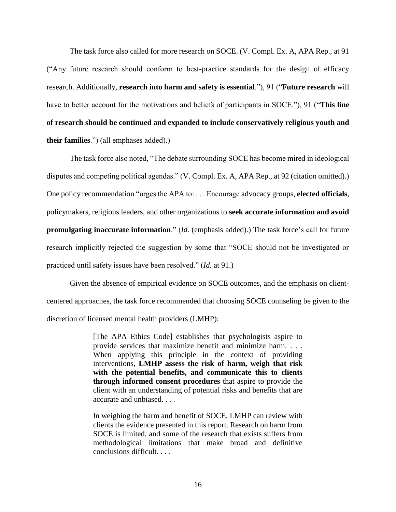The task force also called for more research on SOCE. (V. Compl. Ex. A, APA Rep., at 91 ("Any future research should conform to best-practice standards for the design of efficacy research. Additionally, **research into harm and safety is essential**."), 91 ("**Future research** will have to better account for the motivations and beliefs of participants in SOCE."), 91 ("**This line of research should be continued and expanded to include conservatively religious youth and their families**.") (all emphases added).)

The task force also noted, "The debate surrounding SOCE has become mired in ideological disputes and competing political agendas." (V. Compl. Ex. A, APA Rep., at 92 (citation omitted).) One policy recommendation "urges the APA to: . . . Encourage advocacy groups, **elected officials**, policymakers, religious leaders, and other organizations to **seek accurate information and avoid promulgating inaccurate information**." (*Id.* (emphasis added).) The task force's call for future research implicitly rejected the suggestion by some that "SOCE should not be investigated or practiced until safety issues have been resolved." (*Id.* at 91.)

Given the absence of empirical evidence on SOCE outcomes, and the emphasis on clientcentered approaches, the task force recommended that choosing SOCE counseling be given to the discretion of licensed mental health providers (LMHP):

> [The APA Ethics Code] establishes that psychologists aspire to provide services that maximize benefit and minimize harm. . . . When applying this principle in the context of providing interventions, **LMHP assess the risk of harm, weigh that risk with the potential benefits, and communicate this to clients through informed consent procedures** that aspire to provide the client with an understanding of potential risks and benefits that are accurate and unbiased. . . .

> In weighing the harm and benefit of SOCE, LMHP can review with clients the evidence presented in this report. Research on harm from SOCE is limited, and some of the research that exists suffers from methodological limitations that make broad and definitive conclusions difficult. . . .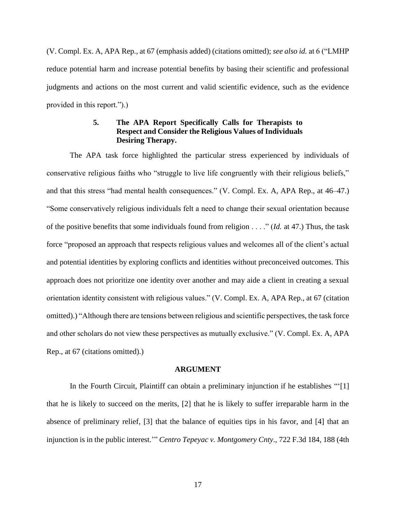(V. Compl. Ex. A, APA Rep., at 67 (emphasis added) (citations omitted); *see also id.* at 6 ("LMHP reduce potential harm and increase potential benefits by basing their scientific and professional judgments and actions on the most current and valid scientific evidence, such as the evidence provided in this report.").)

## **5. The APA Report Specifically Calls for Therapists to Respect and Consider the Religious Values of Individuals Desiring Therapy.**

The APA task force highlighted the particular stress experienced by individuals of conservative religious faiths who "struggle to live life congruently with their religious beliefs," and that this stress "had mental health consequences." (V. Compl. Ex. A, APA Rep., at 46–47.) "Some conservatively religious individuals felt a need to change their sexual orientation because of the positive benefits that some individuals found from religion . . . ." (*Id.* at 47.) Thus, the task force "proposed an approach that respects religious values and welcomes all of the client's actual and potential identities by exploring conflicts and identities without preconceived outcomes. This approach does not prioritize one identity over another and may aide a client in creating a sexual orientation identity consistent with religious values." (V. Compl. Ex. A, APA Rep., at 67 (citation omitted).) "Although there are tensions between religious and scientific perspectives, the task force and other scholars do not view these perspectives as mutually exclusive." (V. Compl. Ex. A, APA Rep., at 67 (citations omitted).)

### **ARGUMENT**

In the Fourth Circuit, Plaintiff can obtain a preliminary injunction if he establishes "'[1] that he is likely to succeed on the merits, [2] that he is likely to suffer irreparable harm in the absence of preliminary relief, [3] that the balance of equities tips in his favor, and [4] that an injunction is in the public interest.'" *Centro Tepeyac v. Montgomery Cnty*., 722 F.3d 184, 188 (4th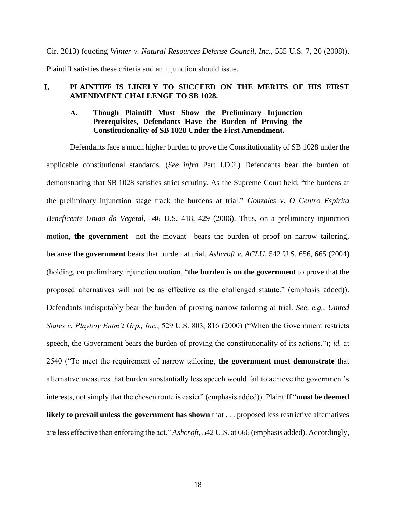Cir. 2013) (quoting *Winter v. Natural Resources Defense Council, Inc.,* 555 U.S. 7, 20 (2008)).

Plaintiff satisfies these criteria and an injunction should issue.

### L. **PLAINTIFF IS LIKELY TO SUCCEED ON THE MERITS OF HIS FIRST AMENDMENT CHALLENGE TO SB 1028.**

### **Though Plaintiff Must Show the Preliminary Injunction**   $\mathbf{A}_{\bullet}$ **Prerequisites, Defendants Have the Burden of Proving the Constitutionality of SB 1028 Under the First Amendment.**

Defendants face a much higher burden to prove the Constitutionality of SB 1028 under the applicable constitutional standards. (*See infra* Part I.D.2.) Defendants bear the burden of demonstrating that SB 1028 satisfies strict scrutiny. As the Supreme Court held, "the burdens at the preliminary injunction stage track the burdens at trial." *Gonzales v. O Centro Espirita Beneficente Uniao do Vegetal*, 546 U.S. 418, 429 (2006). Thus, on a preliminary injunction motion, **the government**—not the movant—bears the burden of proof on narrow tailoring, because **the government** bears that burden at trial. *Ashcroft v. ACLU*, 542 U.S. 656, 665 (2004) (holding, on preliminary injunction motion, "**the burden is on the government** to prove that the proposed alternatives will not be as effective as the challenged statute." (emphasis added)). Defendants indisputably bear the burden of proving narrow tailoring at trial. *See, e.g.*, *United States v. Playboy Entm't Grp., Inc.*, 529 U.S. 803, 816 (2000) ("When the Government restricts speech, the Government bears the burden of proving the constitutionality of its actions."); *id.* at 2540 ("To meet the requirement of narrow tailoring, **the government must demonstrate** that alternative measures that burden substantially less speech would fail to achieve the government's interests, not simply that the chosen route is easier" (emphasis added)). Plaintiff "**must be deemed likely to prevail unless the government has shown** that . . . proposed less restrictive alternatives are less effective than enforcing the act." *Ashcroft*, 542 U.S. at 666 (emphasis added). Accordingly,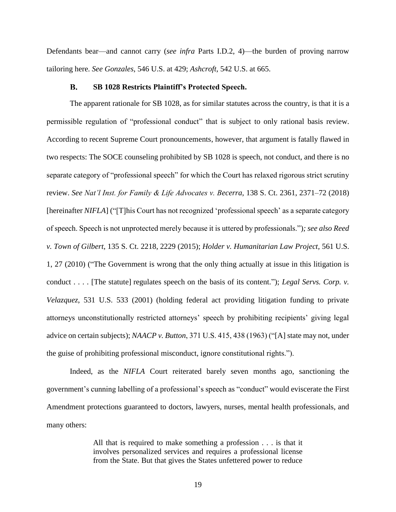Defendants bear—and cannot carry (*see infra* Parts I.D.2, 4)—the burden of proving narrow tailoring here. *See Gonzales*, 546 U.S. at 429; *Ashcroft*, 542 U.S. at 665.

#### $\mathbf{B}$ . **SB 1028 Restricts Plaintiff's Protected Speech.**

The apparent rationale for SB 1028, as for similar statutes across the country, is that it is a permissible regulation of "professional conduct" that is subject to only rational basis review. According to recent Supreme Court pronouncements, however, that argument is fatally flawed in two respects: The SOCE counseling prohibited by SB 1028 is speech, not conduct, and there is no separate category of "professional speech" for which the Court has relaxed rigorous strict scrutiny review. *See Nat'l Inst. for Family & Life Advocates v. Becerra*, 138 S. Ct. 2361, 2371–72 (2018) [hereinafter *NIFLA*] ("[T]his Court has not recognized 'professional speech' as a separate category of speech. Speech is not unprotected merely because it is uttered by professionals.")*; see also Reed v. Town of Gilbert*, 135 S. Ct. 2218, 2229 (2015); *Holder v. Humanitarian Law Project,* 561 U.S. 1, 27 (2010) ("The Government is wrong that the only thing actually at issue in this litigation is conduct . . . . [The statute] regulates speech on the basis of its content."); *Legal Servs. Corp. v. Velazquez*, 531 U.S. 533 (2001) (holding federal act providing litigation funding to private attorneys unconstitutionally restricted attorneys' speech by prohibiting recipients' giving legal advice on certain subjects); *NAACP v. Button*, 371 U.S. 415, 438 (1963) ("[A] state may not, under the guise of prohibiting professional misconduct, ignore constitutional rights.").

Indeed, as the *NIFLA* Court reiterated barely seven months ago, sanctioning the government's cunning labelling of a professional's speech as "conduct" would eviscerate the First Amendment protections guaranteed to doctors, lawyers, nurses, mental health professionals, and many others:

> All that is required to make something a profession . . . is that it involves personalized services and requires a professional license from the State. But that gives the States unfettered power to reduce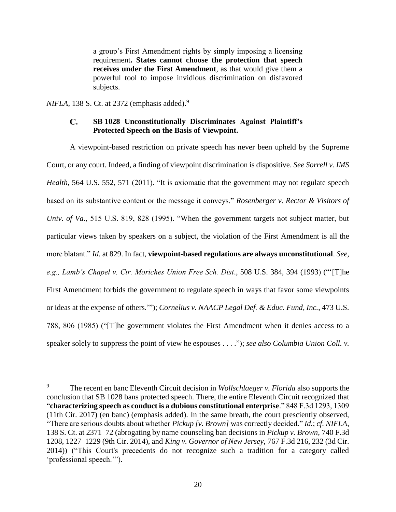a group's First Amendment rights by simply imposing a licensing requirement**. States cannot choose the protection that speech receives under the First Amendment**, as that would give them a powerful tool to impose invidious discrimination on disfavored subjects.

*NIFLA*, 138 S. Ct. at 2372 (emphasis added).<sup>9</sup>

 $\overline{a}$ 

### $\mathbf{C}$ . **SB 1028 Unconstitutionally Discriminates Against Plaintiff's Protected Speech on the Basis of Viewpoint.**

A viewpoint-based restriction on private speech has never been upheld by the Supreme Court, or any court. Indeed, a finding of viewpoint discrimination is dispositive. *See Sorrell v. IMS Health*, 564 U.S. 552, 571 (2011). "It is axiomatic that the government may not regulate speech based on its substantive content or the message it conveys." *Rosenberger v. Rector & Visitors of Univ. of Va*., 515 U.S. 819, 828 (1995). "When the government targets not subject matter, but particular views taken by speakers on a subject, the violation of the First Amendment is all the more blatant." *Id.* at 829. In fact, **viewpoint-based regulations are always unconstitutional**. *See, e.g., Lamb's Chapel v. Ctr. Moriches Union Free Sch. Dist*., 508 U.S. 384, 394 (1993) ("'[T]he First Amendment forbids the government to regulate speech in ways that favor some viewpoints or ideas at the expense of others.'"); *Cornelius v. NAACP Legal Def. & Educ. Fund, Inc.*, 473 U.S. 788, 806 (1985) ("[T]he government violates the First Amendment when it denies access to a speaker solely to suppress the point of view he espouses . . . ."); *see also Columbia Union Coll. v.* 

<sup>9</sup> The recent en banc Eleventh Circuit decision in *Wollschlaeger v. Florida* also supports the conclusion that SB 1028 bans protected speech. There, the entire Eleventh Circuit recognized that "**characterizing speech as conduct is a dubious constitutional enterprise**." 848 F.3d 1293, 1309 (11th Cir. 2017) (en banc) (emphasis added). In the same breath, the court presciently observed, "There are serious doubts about whether *Pickup [v. Brown]* was correctly decided." *Id.*; *cf. NIFLA*, 138 S. Ct. at 2371–72 (abrogating by name counseling ban decisions in *Pickup v. Brown,* 740 F.3d 1208, 1227–1229 (9th Cir. 2014), and *King v. Governor of New Jersey,* 767 F.3d 216, 232 (3d Cir. 2014)) ("This Court's precedents do not recognize such a tradition for a category called 'professional speech.'").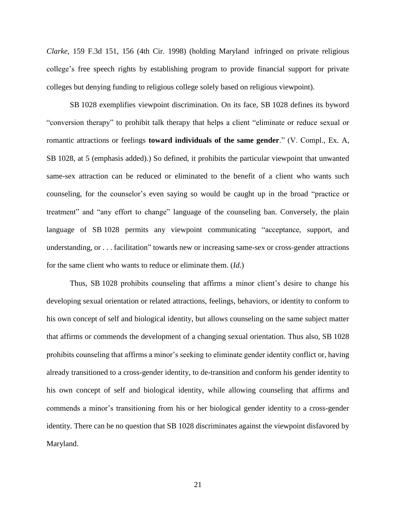*Clarke,* 159 F.3d 151, 156 (4th Cir. 1998) (holding Maryland infringed on private religious college's free speech rights by establishing program to provide financial support for private colleges but denying funding to religious college solely based on religious viewpoint).

SB 1028 exemplifies viewpoint discrimination. On its face, SB 1028 defines its byword "conversion therapy" to prohibit talk therapy that helps a client "eliminate or reduce sexual or romantic attractions or feelings **toward individuals of the same gender**." (V. Compl., Ex. A, SB 1028, at 5 (emphasis added).) So defined, it prohibits the particular viewpoint that unwanted same-sex attraction can be reduced or eliminated to the benefit of a client who wants such counseling, for the counselor's even saying so would be caught up in the broad "practice or treatment" and "any effort to change" language of the counseling ban. Conversely, the plain language of SB 1028 permits any viewpoint communicating "acceptance, support, and understanding, or . . . facilitation" towards new or increasing same-sex or cross-gender attractions for the same client who wants to reduce or eliminate them. (*Id.*)

Thus, SB 1028 prohibits counseling that affirms a minor client's desire to change his developing sexual orientation or related attractions, feelings, behaviors, or identity to conform to his own concept of self and biological identity, but allows counseling on the same subject matter that affirms or commends the development of a changing sexual orientation. Thus also, SB 1028 prohibits counseling that affirms a minor's seeking to eliminate gender identity conflict or, having already transitioned to a cross-gender identity, to de-transition and conform his gender identity to his own concept of self and biological identity, while allowing counseling that affirms and commends a minor's transitioning from his or her biological gender identity to a cross-gender identity. There can be no question that SB 1028 discriminates against the viewpoint disfavored by Maryland.

21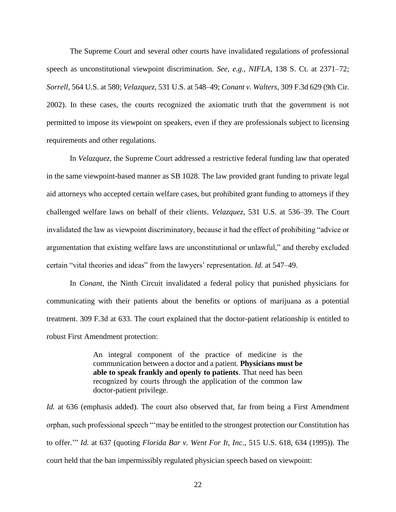The Supreme Court and several other courts have invalidated regulations of professional speech as unconstitutional viewpoint discrimination. *See, e.g.*, *NIFLA*, 138 S. Ct. at 2371–72; *Sorrell*, 564 U.S. at 580; *Velazquez*, 531 U.S. at 548–49; *Conant v. Walters*, 309 F.3d 629 (9th Cir. 2002). In these cases, the courts recognized the axiomatic truth that the government is not permitted to impose its viewpoint on speakers, even if they are professionals subject to licensing requirements and other regulations.

In *Velazquez,* the Supreme Court addressed a restrictive federal funding law that operated in the same viewpoint-based manner as SB 1028. The law provided grant funding to private legal aid attorneys who accepted certain welfare cases, but prohibited grant funding to attorneys if they challenged welfare laws on behalf of their clients. *Velazquez*, 531 U.S. at 536–39. The Court invalidated the law as viewpoint discriminatory, because it had the effect of prohibiting "advice or argumentation that existing welfare laws are unconstitutional or unlawful," and thereby excluded certain "vital theories and ideas" from the lawyers' representation. *Id.* at 547–49.

In *Conant*, the Ninth Circuit invalidated a federal policy that punished physicians for communicating with their patients about the benefits or options of marijuana as a potential treatment. 309 F.3d at 633. The court explained that the doctor-patient relationship is entitled to robust First Amendment protection:

> An integral component of the practice of medicine is the communication between a doctor and a patient. **Physicians must be able to speak frankly and openly to patients**. That need has been recognized by courts through the application of the common law doctor-patient privilege.

*Id.* at 636 (emphasis added). The court also observed that, far from being a First Amendment orphan, such professional speech "'may be entitled to the strongest protection our Constitution has to offer.'" *Id.* at 637 (quoting *Florida Bar v. Went For It, Inc*., 515 U.S. 618, 634 (1995)). The court held that the ban impermissibly regulated physician speech based on viewpoint: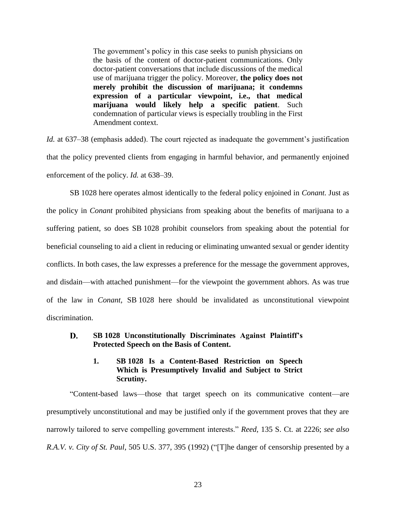The government's policy in this case seeks to punish physicians on the basis of the content of doctor-patient communications. Only doctor-patient conversations that include discussions of the medical use of marijuana trigger the policy. Moreover, **the policy does not merely prohibit the discussion of marijuana; it condemns expression of a particular viewpoint, i.e., that medical marijuana would likely help a specific patient**. Such condemnation of particular views is especially troubling in the First Amendment context.

*Id.* at 637–38 (emphasis added). The court rejected as inadequate the government's justification that the policy prevented clients from engaging in harmful behavior, and permanently enjoined enforcement of the policy. *Id.* at 638–39.

SB 1028 here operates almost identically to the federal policy enjoined in *Conant.* Just as the policy in *Conant* prohibited physicians from speaking about the benefits of marijuana to a suffering patient, so does SB 1028 prohibit counselors from speaking about the potential for beneficial counseling to aid a client in reducing or eliminating unwanted sexual or gender identity conflicts. In both cases, the law expresses a preference for the message the government approves, and disdain—with attached punishment—for the viewpoint the government abhors. As was true of the law in *Conant,* SB 1028 here should be invalidated as unconstitutional viewpoint discrimination.

### D. **SB 1028 Unconstitutionally Discriminates Against Plaintiff's Protected Speech on the Basis of Content.**

## **1. SB 1028 Is a Content-Based Restriction on Speech Which is Presumptively Invalid and Subject to Strict Scrutiny.**

"Content-based laws—those that target speech on its communicative content—are presumptively unconstitutional and may be justified only if the government proves that they are narrowly tailored to serve compelling government interests." *Reed*, 135 S. Ct. at 2226; *see also R.A.V. v. City of St. Paul*, 505 U.S. 377, 395 (1992) ("[T]he danger of censorship presented by a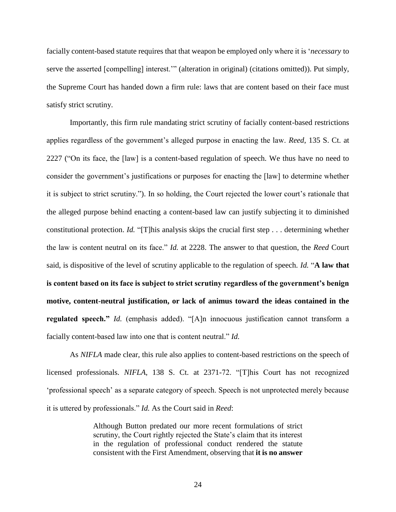facially content-based statute requires that that weapon be employed only where it is '*necessary* to serve the asserted [compelling] interest.'" (alteration in original) (citations omitted)). Put simply, the Supreme Court has handed down a firm rule: laws that are content based on their face must satisfy strict scrutiny.

Importantly, this firm rule mandating strict scrutiny of facially content-based restrictions applies regardless of the government's alleged purpose in enacting the law. *Reed*, 135 S. Ct. at 2227 ("On its face, the [law] is a content-based regulation of speech. We thus have no need to consider the government's justifications or purposes for enacting the [law] to determine whether it is subject to strict scrutiny."). In so holding, the Court rejected the lower court's rationale that the alleged purpose behind enacting a content-based law can justify subjecting it to diminished constitutional protection. *Id.* "[T]his analysis skips the crucial first step . . . determining whether the law is content neutral on its face." *Id.* at 2228. The answer to that question, the *Reed* Court said, is dispositive of the level of scrutiny applicable to the regulation of speech. *Id.* "**A law that is content based on its face is subject to strict scrutiny regardless of the government's benign motive, content-neutral justification, or lack of animus toward the ideas contained in the regulated speech."** *Id.* (emphasis added). "[A]n innocuous justification cannot transform a facially content-based law into one that is content neutral." *Id.*

As *NIFLA* made clear, this rule also applies to content-based restrictions on the speech of licensed professionals. *NIFLA*, 138 S. Ct. at 2371-72. "[T]his Court has not recognized 'professional speech' as a separate category of speech. Speech is not unprotected merely because it is uttered by professionals." *Id.* As the Court said in *Reed*:

> Although Button predated our more recent formulations of strict scrutiny, the Court rightly rejected the State's claim that its interest in the regulation of professional conduct rendered the statute consistent with the First Amendment, observing that **it is no answer**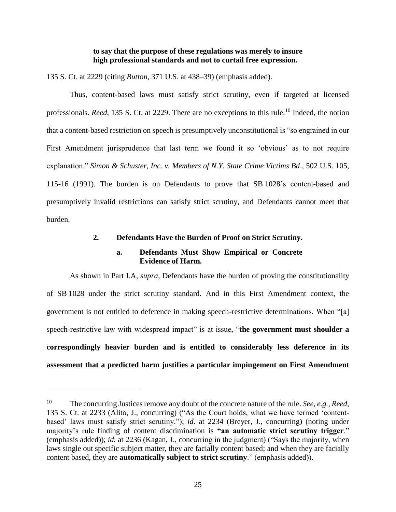### **to say that the purpose of these regulations was merely to insure high professional standards and not to curtail free expression.**

135 S. Ct. at 2229 (citing *Button*, 371 U.S. at 438–39) (emphasis added).

Thus, content-based laws must satisfy strict scrutiny, even if targeted at licensed professionals. *Reed*, 135 S. Ct. at 2229. There are no exceptions to this rule.<sup>10</sup> Indeed, the notion that a content-based restriction on speech is presumptively unconstitutional is "so engrained in our First Amendment jurisprudence that last term we found it so 'obvious' as to not require explanation." *Simon & Schuster, Inc. v. Members of N.Y. State Crime Victims Bd*., 502 U.S. 105, 115-16 (1991). The burden is on Defendants to prove that SB 1028's content-based and presumptively invalid restrictions can satisfy strict scrutiny, and Defendants cannot meet that burden.

### **2. Defendants Have the Burden of Proof on Strict Scrutiny.**

## **a. Defendants Must Show Empirical or Concrete Evidence of Harm.**

As shown in Part I.A, *supra*, Defendants have the burden of proving the constitutionality of SB 1028 under the strict scrutiny standard. And in this First Amendment context, the government is not entitled to deference in making speech-restrictive determinations. When "[a] speech-restrictive law with widespread impact" is at issue, "**the government must shoulder a correspondingly heavier burden and is entitled to considerably less deference in its assessment that a predicted harm justifies a particular impingement on First Amendment** 

 $\overline{a}$ 

<sup>10</sup> The concurring Justices remove any doubt of the concrete nature of the rule. *See, e.g., Reed*, 135 S. Ct. at 2233 (Alito, J., concurring) ("As the Court holds, what we have termed 'contentbased' laws must satisfy strict scrutiny."); *id.* at 2234 (Breyer, J., concurring) (noting under majority's rule finding of content discrimination is **"an automatic strict scrutiny trigger**." (emphasis added)); *id.* at 2236 (Kagan, J., concurring in the judgment) ("Says the majority, when laws single out specific subject matter, they are facially content based; and when they are facially content based, they are **automatically subject to strict scrutiny**." (emphasis added)).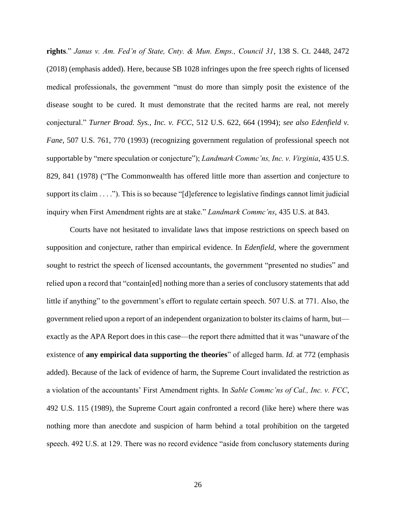**rights**." *Janus v. Am. Fed'n of State, Cnty. & Mun. Emps., Council 31*, 138 S. Ct. 2448, 2472 (2018) (emphasis added). Here, because SB 1028 infringes upon the free speech rights of licensed medical professionals, the government "must do more than simply posit the existence of the disease sought to be cured. It must demonstrate that the recited harms are real, not merely conjectural." *Turner Broad. Sys., Inc. v. FCC*, 512 U.S. 622, 664 (1994); *see also Edenfield v. Fane*, 507 U.S. 761, 770 (1993) (recognizing government regulation of professional speech not supportable by "mere speculation or conjecture"); *Landmark Commc'ns, Inc. v. Virginia*, 435 U.S. 829, 841 (1978) ("The Commonwealth has offered little more than assertion and conjecture to support its claim . . . ."). This is so because "[d]eference to legislative findings cannot limit judicial inquiry when First Amendment rights are at stake." *Landmark Commc'ns*, 435 U.S. at 843.

Courts have not hesitated to invalidate laws that impose restrictions on speech based on supposition and conjecture, rather than empirical evidence. In *Edenfield*, where the government sought to restrict the speech of licensed accountants, the government "presented no studies" and relied upon a record that "contain[ed] nothing more than a series of conclusory statements that add little if anything" to the government's effort to regulate certain speech. 507 U.S. at 771. Also, the government relied upon a report of an independent organization to bolster its claims of harm, but exactly as the APA Report does in this case—the report there admitted that it was "unaware of the existence of **any empirical data supporting the theories**" of alleged harm. *Id.* at 772 (emphasis added). Because of the lack of evidence of harm, the Supreme Court invalidated the restriction as a violation of the accountants' First Amendment rights. In *Sable Commc'ns of Cal., Inc. v. FCC*, 492 U.S. 115 (1989), the Supreme Court again confronted a record (like here) where there was nothing more than anecdote and suspicion of harm behind a total prohibition on the targeted speech. 492 U.S. at 129. There was no record evidence "aside from conclusory statements during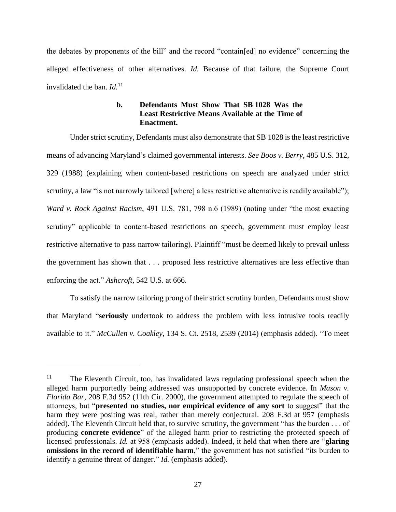the debates by proponents of the bill" and the record "contain[ed] no evidence" concerning the alleged effectiveness of other alternatives. *Id.* Because of that failure, the Supreme Court invalidated the ban. *Id.*<sup>11</sup>

## **b. Defendants Must Show That SB 1028 Was the Least Restrictive Means Available at the Time of Enactment.**

Under strict scrutiny, Defendants must also demonstrate that SB 1028 is the least restrictive means of advancing Maryland's claimed governmental interests. *See Boos v. Berry*, 485 U.S. 312, 329 (1988) (explaining when content-based restrictions on speech are analyzed under strict scrutiny, a law "is not narrowly tailored [where] a less restrictive alternative is readily available"); *Ward v. Rock Against Racism*, 491 U.S. 781, 798 n.6 (1989) (noting under "the most exacting scrutiny" applicable to content-based restrictions on speech, government must employ least restrictive alternative to pass narrow tailoring). Plaintiff "must be deemed likely to prevail unless the government has shown that . . . proposed less restrictive alternatives are less effective than enforcing the act." *Ashcroft*, 542 U.S. at 666.

To satisfy the narrow tailoring prong of their strict scrutiny burden, Defendants must show that Maryland "**seriously** undertook to address the problem with less intrusive tools readily available to it." *McCullen v. Coakley*, 134 S. Ct. 2518, 2539 (2014) (emphasis added). "To meet

l

<sup>&</sup>lt;sup>11</sup> The Eleventh Circuit, too, has invalidated laws regulating professional speech when the alleged harm purportedly being addressed was unsupported by concrete evidence. In *Mason v. Florida Bar*, 208 F.3d 952 (11th Cir. 2000), the government attempted to regulate the speech of attorneys, but "**presented no studies, nor empirical evidence of any sort** to suggest" that the harm they were positing was real, rather than merely conjectural. 208 F.3d at 957 (emphasis added). The Eleventh Circuit held that, to survive scrutiny, the government "has the burden . . . of producing **concrete evidence**" of the alleged harm prior to restricting the protected speech of licensed professionals. *Id.* at 958 (emphasis added). Indeed, it held that when there are "**glaring omissions in the record of identifiable harm**," the government has not satisfied "its burden to identify a genuine threat of danger." *Id.* (emphasis added).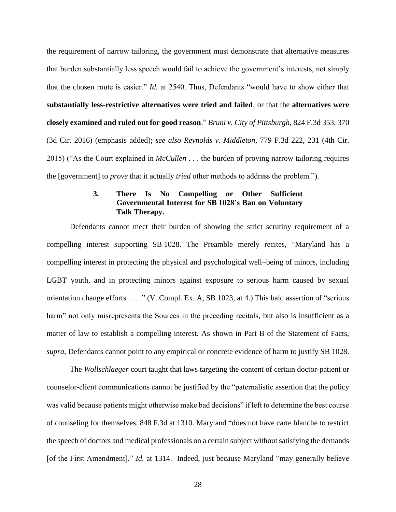the requirement of narrow tailoring, the government must demonstrate that alternative measures that burden substantially less speech would fail to achieve the government's interests, not simply that the chosen route is easier." *Id.* at 2540. Thus, Defendants "would have to show either that **substantially less-restrictive alternatives were tried and failed**, or that the **alternatives were closely examined and ruled out for good reason**." *Bruni v. City of Pittsburgh*, 824 F.3d 353, 370 (3d Cir. 2016) (emphasis added); *see also Reynolds v. Middleton*, 779 F.3d 222, 231 (4th Cir. 2015) ("As the Court explained in *McCullen* . . . the burden of proving narrow tailoring requires the [government] to *prove* that it actually *tried* other methods to address the problem.").

### **3. There Is No Compelling or Other Sufficient Governmental Interest for SB 1028's Ban on Voluntary Talk Therapy.**

Defendants cannot meet their burden of showing the strict scrutiny requirement of a compelling interest supporting SB 1028. The Preamble merely recites, "Maryland has a compelling interest in protecting the physical and psychological well–being of minors, including LGBT youth, and in protecting minors against exposure to serious harm caused by sexual orientation change efforts . . . ." (V. Compl. Ex. A, SB 1023, at 4.) This bald assertion of "serious harm" not only misrepresents the Sources in the preceding recitals, but also is insufficient as a matter of law to establish a compelling interest. As shown in Part B of the Statement of Facts, *supra*, Defendants cannot point to any empirical or concrete evidence of harm to justify SB 1028.

The *Wollschlaeger* court taught that laws targeting the content of certain doctor-patient or counselor-client communications cannot be justified by the "paternalistic assertion that the policy was valid because patients might otherwise make bad decisions" if left to determine the best course of counseling for themselves. 848 F.3d at 1310. Maryland "does not have carte blanche to restrict the speech of doctors and medical professionals on a certain subject without satisfying the demands [of the First Amendment]." *Id.* at 1314. Indeed, just because Maryland "may generally believe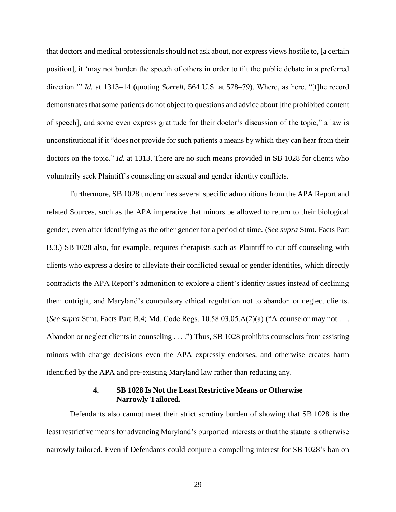that doctors and medical professionals should not ask about, nor express views hostile to, [a certain position], it 'may not burden the speech of others in order to tilt the public debate in a preferred direction.'" *Id.* at 1313–14 (quoting *Sorrell*, 564 U.S. at 578–79). Where, as here, "[t]he record demonstrates that some patients do not object to questions and advice about [the prohibited content of speech], and some even express gratitude for their doctor's discussion of the topic," a law is unconstitutional if it "does not provide for such patients a means by which they can hear from their doctors on the topic." *Id.* at 1313. There are no such means provided in SB 1028 for clients who voluntarily seek Plaintiff's counseling on sexual and gender identity conflicts.

Furthermore, SB 1028 undermines several specific admonitions from the APA Report and related Sources, such as the APA imperative that minors be allowed to return to their biological gender, even after identifying as the other gender for a period of time. (*See supra* Stmt. Facts Part B.3.) SB 1028 also, for example, requires therapists such as Plaintiff to cut off counseling with clients who express a desire to alleviate their conflicted sexual or gender identities, which directly contradicts the APA Report's admonition to explore a client's identity issues instead of declining them outright, and Maryland's compulsory ethical regulation not to abandon or neglect clients. (*See supra* Stmt. Facts Part B.4; Md. Code Regs. 10.58.03.05.A(2)(a) ("A counselor may not . . . Abandon or neglect clients in counseling . . . .") Thus, SB 1028 prohibits counselors from assisting minors with change decisions even the APA expressly endorses, and otherwise creates harm identified by the APA and pre-existing Maryland law rather than reducing any.

### **4. SB 1028 Is Not the Least Restrictive Means or Otherwise Narrowly Tailored.**

Defendants also cannot meet their strict scrutiny burden of showing that SB 1028 is the least restrictive means for advancing Maryland's purported interests or that the statute is otherwise narrowly tailored. Even if Defendants could conjure a compelling interest for SB 1028's ban on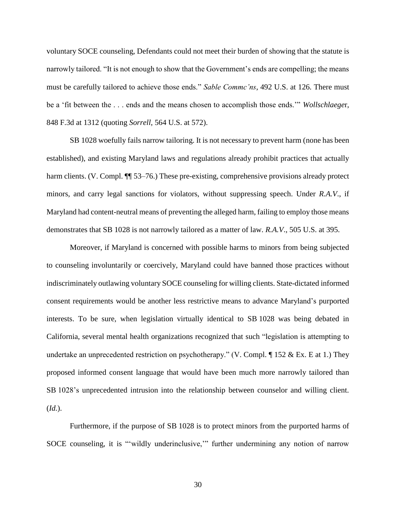voluntary SOCE counseling, Defendants could not meet their burden of showing that the statute is narrowly tailored. "It is not enough to show that the Government's ends are compelling; the means must be carefully tailored to achieve those ends." *Sable Commc'ns*, 492 U.S. at 126. There must be a 'fit between the . . . ends and the means chosen to accomplish those ends.'" *Wollschlaege*r, 848 F.3d at 1312 (quoting *Sorrell*, 564 U.S. at 572).

SB 1028 woefully fails narrow tailoring. It is not necessary to prevent harm (none has been established), and existing Maryland laws and regulations already prohibit practices that actually harm clients. (V. Compl.  $\P$  53–76.) These pre-existing, comprehensive provisions already protect minors, and carry legal sanctions for violators, without suppressing speech. Under *R.A.V*., if Maryland had content-neutral means of preventing the alleged harm, failing to employ those means demonstrates that SB 1028 is not narrowly tailored as a matter of law. *R.A.V*., 505 U.S. at 395.

Moreover, if Maryland is concerned with possible harms to minors from being subjected to counseling involuntarily or coercively, Maryland could have banned those practices without indiscriminately outlawing voluntary SOCE counseling for willing clients. State-dictated informed consent requirements would be another less restrictive means to advance Maryland's purported interests. To be sure, when legislation virtually identical to SB 1028 was being debated in California, several mental health organizations recognized that such "legislation is attempting to undertake an unprecedented restriction on psychotherapy." (V. Compl. ¶ 152 & Ex. E at 1.) They proposed informed consent language that would have been much more narrowly tailored than SB 1028's unprecedented intrusion into the relationship between counselor and willing client. (*Id.*).

Furthermore, if the purpose of SB 1028 is to protect minors from the purported harms of SOCE counseling, it is "'wildly underinclusive," further undermining any notion of narrow

30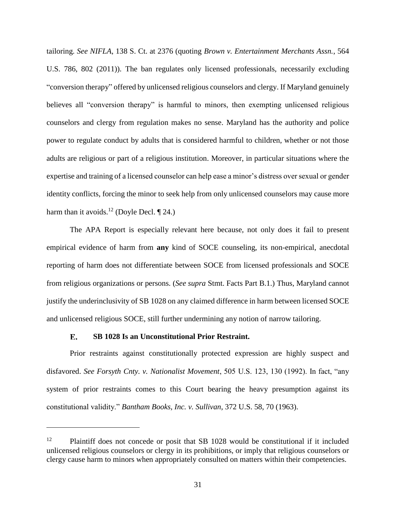tailoring. *See NIFLA*, 138 S. Ct. at 2376 (quoting *Brown v. Entertainment Merchants Assn.*, 564 U.S. 786, 802 (2011)). The ban regulates only licensed professionals, necessarily excluding "conversion therapy" offered by unlicensed religious counselors and clergy. If Maryland genuinely believes all "conversion therapy" is harmful to minors, then exempting unlicensed religious counselors and clergy from regulation makes no sense. Maryland has the authority and police power to regulate conduct by adults that is considered harmful to children, whether or not those adults are religious or part of a religious institution. Moreover, in particular situations where the expertise and training of a licensed counselor can help ease a minor's distress over sexual or gender identity conflicts, forcing the minor to seek help from only unlicensed counselors may cause more harm than it avoids.<sup>12</sup> (Doyle Decl.  $\P$  24.)

The APA Report is especially relevant here because, not only does it fail to present empirical evidence of harm from **any** kind of SOCE counseling, its non-empirical, anecdotal reporting of harm does not differentiate between SOCE from licensed professionals and SOCE from religious organizations or persons. (*See supra* Stmt. Facts Part B.1.) Thus, Maryland cannot justify the underinclusivity of SB 1028 on any claimed difference in harm between licensed SOCE and unlicensed religious SOCE, still further undermining any notion of narrow tailoring.

#### $E_{\star}$ **SB 1028 Is an Unconstitutional Prior Restraint.**

 $\overline{a}$ 

Prior restraints against constitutionally protected expression are highly suspect and disfavored. *See Forsyth Cnty. v. Nationalist Movement*, 505 U.S. 123, 130 (1992). In fact, "any system of prior restraints comes to this Court bearing the heavy presumption against its constitutional validity." *Bantham Books, Inc. v. Sullivan*, 372 U.S. 58, 70 (1963).

<sup>&</sup>lt;sup>12</sup> Plaintiff does not concede or posit that SB 1028 would be constitutional if it included unlicensed religious counselors or clergy in its prohibitions, or imply that religious counselors or clergy cause harm to minors when appropriately consulted on matters within their competencies.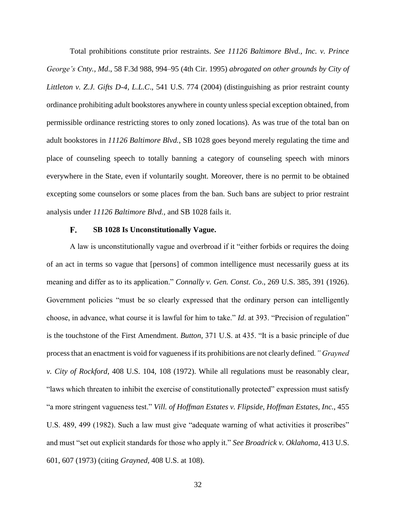Total prohibitions constitute prior restraints. *See 11126 Baltimore Blvd., Inc. v. Prince George's Cnty., Md*., 58 F.3d 988, 994–95 (4th Cir. 1995) *abrogated on other grounds by City of Littleton v. Z.J. Gifts D-4, L.L.C*., 541 U.S. 774 (2004) (distinguishing as prior restraint county ordinance prohibiting adult bookstores anywhere in county unless special exception obtained, from permissible ordinance restricting stores to only zoned locations). As was true of the total ban on adult bookstores in *11126 Baltimore Blvd.*, SB 1028 goes beyond merely regulating the time and place of counseling speech to totally banning a category of counseling speech with minors everywhere in the State, even if voluntarily sought. Moreover, there is no permit to be obtained excepting some counselors or some places from the ban. Such bans are subject to prior restraint analysis under *11126 Baltimore Blvd.,* and SB 1028 fails it.

#### F. **SB 1028 Is Unconstitutionally Vague.**

A law is unconstitutionally vague and overbroad if it "either forbids or requires the doing of an act in terms so vague that [persons] of common intelligence must necessarily guess at its meaning and differ as to its application." *Connally v. Gen. Const. Co*., 269 U.S. 385, 391 (1926). Government policies "must be so clearly expressed that the ordinary person can intelligently choose, in advance, what course it is lawful for him to take." *Id*. at 393. "Precision of regulation" is the touchstone of the First Amendment. *Button,* 371 U.S. at 435. "It is a basic principle of due process that an enactment is void for vagueness if its prohibitions are not clearly defined*." Grayned v. City of Rockford*, 408 U.S. 104, 108 (1972). While all regulations must be reasonably clear, "laws which threaten to inhibit the exercise of constitutionally protected" expression must satisfy "a more stringent vagueness test." *Vill. of Hoffman Estates v. Flipside, Hoffman Estates, Inc.*, 455 U.S. 489, 499 (1982). Such a law must give "adequate warning of what activities it proscribes" and must "set out explicit standards for those who apply it." *See Broadrick v. Oklahoma*, 413 U.S. 601, 607 (1973) (citing *Grayned,* 408 U.S. at 108).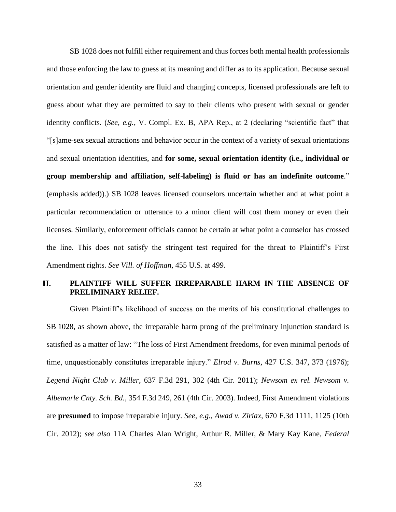SB 1028 does not fulfill either requirement and thus forces both mental health professionals and those enforcing the law to guess at its meaning and differ as to its application. Because sexual orientation and gender identity are fluid and changing concepts, licensed professionals are left to guess about what they are permitted to say to their clients who present with sexual or gender identity conflicts. (*See, e.g.*, V. Compl. Ex. B, APA Rep., at 2 (declaring "scientific fact" that "[s]ame-sex sexual attractions and behavior occur in the context of a variety of sexual orientations and sexual orientation identities, and **for some, sexual orientation identity (i.e., individual or group membership and affiliation, self-labeling) is fluid or has an indefinite outcome**." (emphasis added)).) SB 1028 leaves licensed counselors uncertain whether and at what point a particular recommendation or utterance to a minor client will cost them money or even their licenses. Similarly, enforcement officials cannot be certain at what point a counselor has crossed the line. This does not satisfy the stringent test required for the threat to Plaintiff's First Amendment rights. *See Vill. of Hoffman*, 455 U.S. at 499.

### **PLAINTIFF WILL SUFFER IRREPARABLE HARM IN THE ABSENCE OF II. PRELIMINARY RELIEF.**

Given Plaintiff's likelihood of success on the merits of his constitutional challenges to SB 1028, as shown above, the irreparable harm prong of the preliminary injunction standard is satisfied as a matter of law: "The loss of First Amendment freedoms, for even minimal periods of time, unquestionably constitutes irreparable injury." *Elrod v. Burns*, 427 U.S. 347, 373 (1976); *Legend Night Club v. Miller*, 637 F.3d 291, 302 (4th Cir. 2011); *Newsom ex rel. Newsom v. Albemarle Cnty. Sch. Bd.,* 354 F.3d 249, 261 (4th Cir. 2003). Indeed, First Amendment violations are **presumed** to impose irreparable injury. *See, e.g.*, *Awad v. Ziriax*, 670 F.3d 1111, 1125 (10th Cir. 2012); *see also* 11A Charles Alan Wright, Arthur R. Miller, & Mary Kay Kane*, Federal*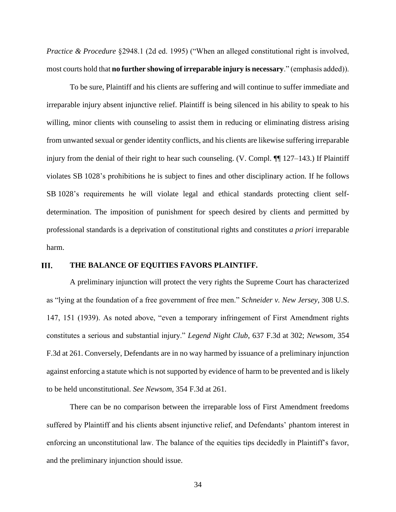*Practice & Procedure* §2948.1 (2d ed. 1995) ("When an alleged constitutional right is involved, most courts hold that **no further showing of irreparable injury is necessary**." (emphasis added)).

To be sure, Plaintiff and his clients are suffering and will continue to suffer immediate and irreparable injury absent injunctive relief. Plaintiff is being silenced in his ability to speak to his willing, minor clients with counseling to assist them in reducing or eliminating distress arising from unwanted sexual or gender identity conflicts, and his clients are likewise suffering irreparable injury from the denial of their right to hear such counseling. (V. Compl. ¶¶ 127–143.) If Plaintiff violates SB 1028's prohibitions he is subject to fines and other disciplinary action. If he follows SB 1028's requirements he will violate legal and ethical standards protecting client selfdetermination. The imposition of punishment for speech desired by clients and permitted by professional standards is a deprivation of constitutional rights and constitutes *a priori* irreparable harm.

#### **III. THE BALANCE OF EQUITIES FAVORS PLAINTIFF.**

A preliminary injunction will protect the very rights the Supreme Court has characterized as "lying at the foundation of a free government of free men." *Schneider v. New Jersey*, 308 U.S. 147, 151 (1939). As noted above, "even a temporary infringement of First Amendment rights constitutes a serious and substantial injury." *Legend Night Club*, 637 F.3d at 302; *Newsom,* 354 F.3d at 261. Conversely, Defendants are in no way harmed by issuance of a preliminary injunction against enforcing a statute which is not supported by evidence of harm to be prevented and is likely to be held unconstitutional. *See Newsom,* 354 F.3d at 261.

There can be no comparison between the irreparable loss of First Amendment freedoms suffered by Plaintiff and his clients absent injunctive relief, and Defendants' phantom interest in enforcing an unconstitutional law. The balance of the equities tips decidedly in Plaintiff's favor, and the preliminary injunction should issue.